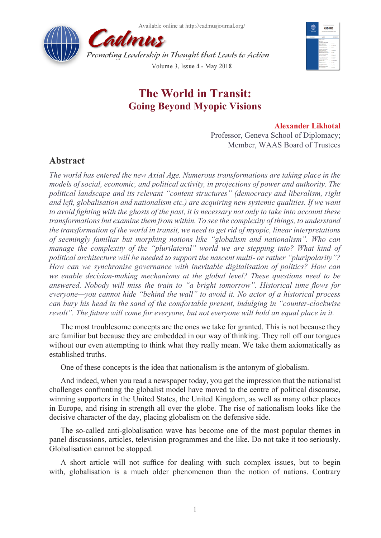



## **The World in Transit: Going Beyond Myopic Visions**

## **Alexander Likhotal**

Professor, Geneva School of Diplomacy; Member, WAAS Board of Trustees

## **Abstract**

*The world has entered the new Axial Age. Numerous transformations are taking place in the models of social, economic, and political activity, in projections of power and authority. The political landscape and its relevant "content structures" (democracy and liberalism, right and left, globalisation and nationalism etc.) are acquiring new systemic qualities. If we want to avoid fighting with the ghosts of the past, it is necessary not only to take into account these transformations but examine them from within. To see the complexity of things, to understand the transformation of the world in transit, we need to get rid of myopic, linear interpretations of seemingly familiar but morphing notions like "globalism and nationalism". Who can manage the complexity of the "plurilateral" world we are stepping into? What kind of political architecture will be needed to support the nascent multi- or rather "pluripolarity"? How can we synchronise governance with inevitable digitalisation of politics? How can we enable decision-making mechanisms at the global level? These questions need to be answered. Nobody will miss the train to "a bright tomorrow". Historical time flows for everyone—you cannot hide "behind the wall" to avoid it. No actor of a historical process can bury his head in the sand of the comfortable present, indulging in "counter-clockwise revolt". The future will come for everyone, but not everyone will hold an equal place in it.*

The most troublesome concepts are the ones we take for granted. This is not because they are familiar but because they are embedded in our way of thinking. They roll off our tongues without our even attempting to think what they really mean. We take them axiomatically as established truths.

One of these concepts is the idea that nationalism is the antonym of globalism.

And indeed, when you read a newspaper today, you get the impression that the nationalist challenges confronting the globalist model have moved to the centre of political discourse, winning supporters in the United States, the United Kingdom, as well as many other places in Europe, and rising in strength all over the globe. The rise of nationalism looks like the decisive character of the day, placing globalism on the defensive side.

The so-called anti-globalisation wave has become one of the most popular themes in panel discussions, articles, television programmes and the like. Do not take it too seriously. Globalisation cannot be stopped.

A short article will not suffice for dealing with such complex issues, but to begin with, globalisation is a much older phenomenon than the notion of nations. Contrary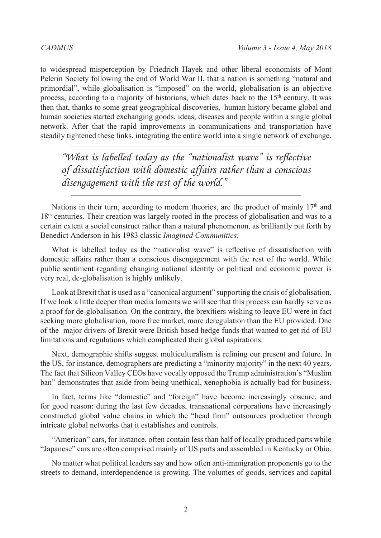to widespread misperception by Friedrich Hayek and other liberal economists of Mont Pelerin Society following the end of World War II, that a nation is something "natural and primordial", while globalisation is "imposed" on the world, globalisation is an objective process, according to a majority of historians, which dates back to the  $15<sup>th</sup>$  century. It was then that, thanks to some great geographical discoveries, human history became global and human societies started exchanging goods, ideas, diseases and people within a single global network. After that the rapid improvements in communications and transportation have steadily tightened these links, integrating the entire world into a single network of exchange.

*"What is labelled today as the "nationalist wave" is reflective of dissatisfaction with domestic affairs rather than a conscious disengagement with the rest of the world."*

Nations in their turn, according to modern theories, are the product of mainly  $17<sup>th</sup>$  and 18<sup>th</sup> centuries. Their creation was largely rooted in the process of globalisation and was to a certain extent a social construct rather than a natural phenomenon, as brilliantly put forth by Benedict Anderson in his 1983 classic *Imagined Communities*.

What is labelled today as the "nationalist wave" is reflective of dissatisfaction with domestic affairs rather than a conscious disengagement with the rest of the world. While public sentiment regarding changing national identity or political and economic power is very real, de-globalisation is highly unlikely.

Look at Brexit that is used as a "canonical argument" supporting the crisis of globalisation. If we look a little deeper than media laments we will see that this process can hardly serve as a proof for de-globalisation. On the contrary, the brexitiers wishing to leave EU were in fact seeking more globalisation, more free market, more deregulation than the EU provided. One of the major drivers of Brexit were British based hedge funds that wanted to get rid of EU limitations and regulations which complicated their global aspirations.

Next, demographic shifts suggest multiculturalism is refining our present and future. In the US, for instance, demographers are predicting a "minority majority" in the next 40 years. The fact that Silicon Valley CEOs have vocally opposed the Trump administration's "Muslim ban" demonstrates that aside from being unethical, xenophobia is actually bad for business.

In fact, terms like "domestic" and "foreign" have become increasingly obscure, and for good reason: during the last few decades, transnational corporations have increasingly constructed global value chains in which the "head firm" outsources production through intricate global networks that it establishes and controls.

"American" cars, for instance, often contain less than half of locally produced parts while "Japanese" cars are often comprised mainly of US parts and assembled in Kentucky or Ohio.

No matter what political leaders say and how often anti-immigration proponents go to the streets to demand, interdependence is growing. The volumes of goods, services and capital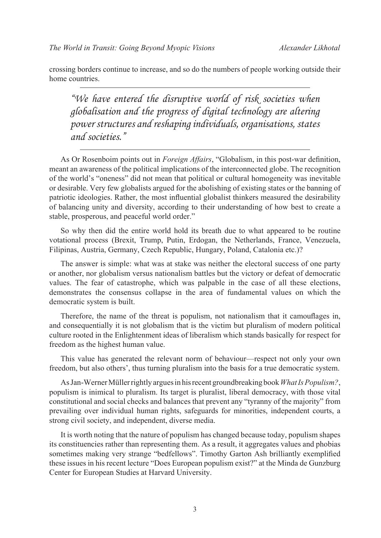crossing borders continue to increase, and so do the numbers of people working outside their home countries.

*"We have entered the disruptive world of risk societies when globalisation and the progress of digital technology are altering power structures and reshaping individuals, organisations, states and societies."*

As Or Rosenboim points out in *Foreign Affairs*, "Globalism, in this post-war definition, meant an awareness of the political implications of the interconnected globe. The recognition of the world's "oneness" did not mean that political or cultural homogeneity was inevitable or desirable. Very few globalists argued for the abolishing of existing states or the banning of patriotic ideologies. Rather, the most influential globalist thinkers measured the desirability of balancing unity and diversity, according to their understanding of how best to create a stable, prosperous, and peaceful world order."

So why then did the entire world hold its breath due to what appeared to be routine votational process (Brexit, Trump, Putin, Erdogan, the Netherlands, France, Venezuela, Filipinas, Austria, Germany, Czech Republic, Hungary, Poland, Catalonia etc.)?

The answer is simple: what was at stake was neither the electoral success of one party or another, nor globalism versus nationalism battles but the victory or defeat of democratic values. The fear of catastrophe, which was palpable in the case of all these elections, demonstrates the consensus collapse in the area of fundamental values on which the democratic system is built.

Therefore, the name of the threat is populism, not nationalism that it camouflages in, and consequentially it is not globalism that is the victim but pluralism of modern political culture rooted in the Enlightenment ideas of liberalism which stands basically for respect for freedom as the highest human value.

This value has generated the relevant norm of behaviour—respect not only your own freedom, but also others', thus turning pluralism into the basis for a true democratic system.

As Jan-Werner Müller rightly argues in his recent groundbreaking book *What Is Populism?*, populism is inimical to pluralism. Its target is pluralist, liberal democracy, with those vital constitutional and social checks and balances that prevent any "tyranny of the majority" from prevailing over individual human rights, safeguards for minorities, independent courts, a strong civil society, and independent, diverse media.

It is worth noting that the nature of populism has changed because today, populism shapes its constituencies rather than representing them. As a result, it aggregates values and phobias sometimes making very strange "bedfellows". Timothy Garton Ash brilliantly exemplified these issues in his recent lecture "Does European populism exist?" at the Minda de Gunzburg Center for European Studies at Harvard University.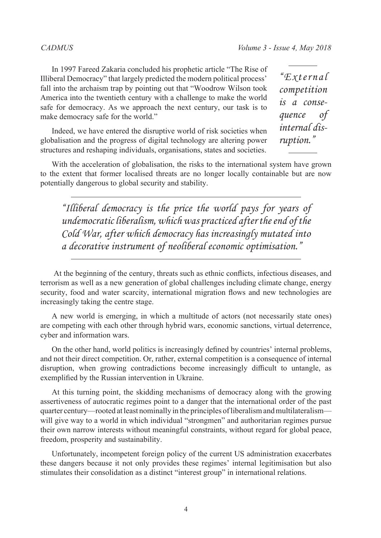In 1997 Fareed Zakaria concluded his prophetic article "The Rise of Illiberal Democracy" that largely predicted the modern political process' fall into the archaism trap by pointing out that "Woodrow Wilson took America into the twentieth century with a challenge to make the world safe for democracy. As we approach the next century, our task is to make democracy safe for the world."

Indeed, we have entered the disruptive world of risk societies when globalisation and the progress of digital technology are altering power structures and reshaping individuals, organisations, states and societies.

*"External competition is a consequence of internal disruption."*

With the acceleration of globalisation, the risks to the international system have grown to the extent that former localised threats are no longer locally containable but are now potentially dangerous to global security and stability.

*"Illiberal democracy is the price the world pays for years of undemocratic liberalism, which was practiced after the end of the Cold War, after which democracy has increasingly mutated into a decorative instrument of neoliberal economic optimisation."*

 At the beginning of the century, threats such as ethnic conflicts, infectious diseases, and terrorism as well as a new generation of global challenges including climate change, energy security, food and water scarcity, international migration flows and new technologies are increasingly taking the centre stage.

A new world is emerging, in which a multitude of actors (not necessarily state ones) are competing with each other through hybrid wars, economic sanctions, virtual deterrence, cyber and information wars.

On the other hand, world politics is increasingly defined by countries' internal problems, and not their direct competition. Or, rather, external competition is a consequence of internal disruption, when growing contradictions become increasingly difficult to untangle, as exemplified by the Russian intervention in Ukraine.

At this turning point, the skidding mechanisms of democracy along with the growing assertiveness of autocratic regimes point to a danger that the international order of the past quarter century—rooted at least nominally in the principles of liberalism and multilateralism will give way to a world in which individual "strongmen" and authoritarian regimes pursue their own narrow interests without meaningful constraints, without regard for global peace, freedom, prosperity and sustainability.

Unfortunately, incompetent foreign policy of the current US administration exacerbates these dangers because it not only provides these regimes' internal legitimisation but also stimulates their consolidation as a distinct "interest group" in international relations.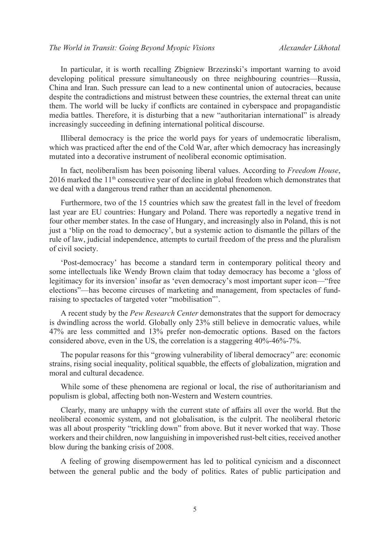In particular, it is worth recalling Zbigniew Brzezinski's important warning to avoid developing political pressure simultaneously on three neighbouring countries—Russia, China and Iran. Such pressure can lead to a new continental union of autocracies, because despite the contradictions and mistrust between these countries, the external threat can unite them. The world will be lucky if conflicts are contained in cyberspace and propagandistic media battles. Therefore, it is disturbing that a new "authoritarian international" is already increasingly succeeding in defining international political discourse.

Illiberal democracy is the price the world pays for years of undemocratic liberalism, which was practiced after the end of the Cold War, after which democracy has increasingly mutated into a decorative instrument of neoliberal economic optimisation.

In fact, neoliberalism has been poisoning liberal values. According to *Freedom House*,  $2016$  marked the  $11<sup>th</sup>$  consecutive year of decline in global freedom which demonstrates that we deal with a dangerous trend rather than an accidental phenomenon.

Furthermore, two of the 15 countries which saw the greatest fall in the level of freedom last year are EU countries: Hungary and Poland. There was reportedly a negative trend in four other member states. In the case of Hungary, and increasingly also in Poland, this is not just a 'blip on the road to democracy', but a systemic action to dismantle the pillars of the rule of law, judicial independence, attempts to curtail freedom of the press and the pluralism of civil society.

'Post-democracy' has become a standard term in contemporary political theory and some intellectuals like Wendy Brown claim that today democracy has become a 'gloss of legitimacy for its inversion' insofar as 'even democracy's most important super icon—"free elections"—has become circuses of marketing and management, from spectacles of fundraising to spectacles of targeted voter "mobilisation"'.

A recent study by the *Pew Research Center* demonstrates that the support for democracy is dwindling across the world. Globally only 23% still believe in democratic values, while 47% are less committed and 13% prefer non-democratic options. Based on the factors considered above, even in the US, the correlation is a staggering 40%-46%-7%.

The popular reasons for this "growing vulnerability of liberal democracy" are: economic strains, rising social inequality, political squabble, the effects of globalization, migration and moral and cultural decadence.

While some of these phenomena are regional or local, the rise of authoritarianism and populism is global, affecting both non-Western and Western countries.

Clearly, many are unhappy with the current state of affairs all over the world. But the neoliberal economic system, and not globalisation, is the culprit. The neoliberal rhetoric was all about prosperity "trickling down" from above. But it never worked that way. Those workers and their children, now languishing in impoverished rust-belt cities, received another blow during the banking crisis of 2008.

A feeling of growing disempowerment has led to political cynicism and a disconnect between the general public and the body of politics. Rates of public participation and